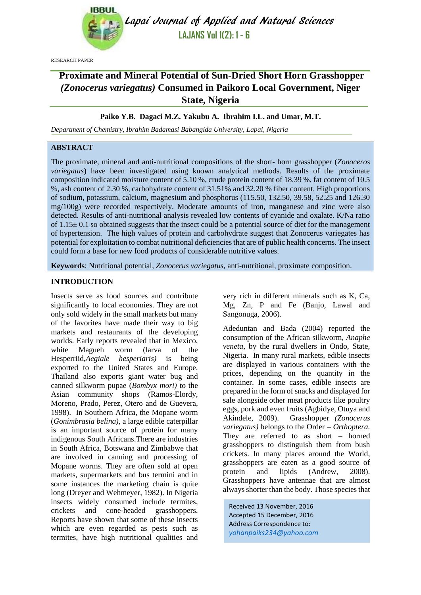

Lapai Journal of Applied and Natural Sciences **LAJANS Vol 1(2): 1 - 6**

RESEARCH PAPER

# **Proximate and Mineral Potential of Sun-Dried Short Horn Grasshopper**  *(Zonocerus variegatus)* **Consumed in Paikoro Local Government, Niger State, Nigeria**

# **Paiko Y.B. Dagaci M.Z. Yakubu A. Ibrahim I.L. and Umar, M.T.**

*Department of Chemistry, Ibrahim Badamasi Babangida University, Lapai, Nigeria*

# **ABSTRACT**

The proximate, mineral and anti-nutritional compositions of the short- horn grasshopper (*Zonoceros variegatus*) have been investigated using known analytical methods. Results of the proximate composition indicated moisture content of 5.10 %, crude protein content of 18.39 %, fat content of 10.5 %, ash content of 2.30 %, carbohydrate content of 31.51% and 32.20 % fiber content. High proportions of sodium, potassium, calcium, magnesium and phosphorus (115.50, 132.50, 39.58, 52.25 and 126.30 mg/100g) were recorded respectively. Moderate amounts of iron, manganese and zinc were also detected. Results of anti-nutritional analysis revealed low contents of cyanide and oxalate. K/Na ratio of  $1.15 \pm 0.1$  so obtained suggests that the insect could be a potential source of diet for the management of hypertension. The high values of protein and carbohydrate suggest that Zonocerus variegates has potential for exploitation to combat nutritional deficiencies that are of public health concerns. The insect could form a base for new food products of considerable nutritive values.

**Keywords**: Nutritional potential, *Zonocerus variegatus*, anti-nutritional, proximate composition.

# **INTRODUCTION**

Insects serve as food sources and contribute significantly to local economies. They are not only sold widely in the small markets but many of the favorites have made their way to big markets and restaurants of the developing worlds. Early reports revealed that in Mexico, white Magueh worm (larva of the Hesperriid,*Aegiale hesperiaris)* is being exported to the United States and Europe. Thailand also exports giant water bug and canned silkworm pupae (*Bombyx mori)* to the Asian community shops (Ramos-Elordy, Moreno, Prado, Perez, Otero and de Guevera, 1998). In Southern Africa, the Mopane worm (*Gonimbrasia belina),* a large edible caterpillar is an important source of protein for many indigenous South Africans.There are industries in South Africa, Botswana and Zimbabwe that are involved in canning and processing of Mopane worms. They are often sold at open markets, supermarkets and bus termini and in some instances the marketing chain is quite long (Dreyer and Wehmeyer, 1982). In Nigeria insects widely consumed include termites, crickets and cone-headed grasshoppers. Reports have shown that some of these insects which are even regarded as pests such as termites, have high nutritional qualities and very rich in different minerals such as K, Ca, Mg, Zn, P and Fe (Banjo, Lawal and Sangonuga, 2006).

Adeduntan and Bada (2004) reported the consumption of the African silkworm, *Anaphe veneta,* by the rural dwellers in Ondo, State, Nigeria. In many rural markets, edible insects are displayed in various containers with the prices, depending on the quantity in the container. In some cases, edible insects are prepared in the form of snacks and displayed for sale alongside other meat products like poultry eggs, pork and even fruits (Agbidye, Otuya and Akindele, 2009). Grasshopper *(Zonocerus variegatus)* belongs to the Order – *Orthoptera.*  They are referred to as short – horned grasshoppers to distinguish them from bush crickets. In many places around the World, grasshoppers are eaten as a good source of protein and lipids (Andrew, 2008). Grasshoppers have antennae that are almost always shorter than the body. Those species that

Received 13 November, 2016 Accepted 15 December, 2016 Address Correspondence to: *[yohanpaiks234@yahoo.com](mailto:yohanpaiks234@yahoo.com)*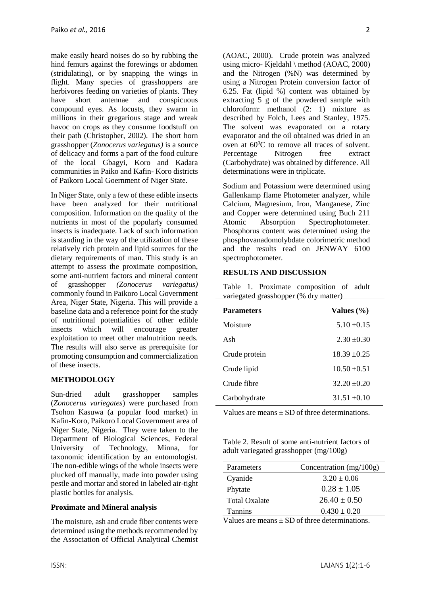make easily heard noises do so by rubbing the hind femurs against the forewings or abdomen (stridulating), or by snapping the wings in flight. Many species of grasshoppers are herbivores feeding on varieties of plants. They have short antennae and conspicuous compound eyes. As locusts, they swarm in millions in their gregarious stage and wreak havoc on crops as they consume foodstuff on their path (Christopher, 2002). The short horn grasshopper (*Zonocerus variegatus)* is a source of delicacy and forms a part of the food culture of the local Gbagyi, Koro and Kadara communities in Paiko and Kafin- Koro districts of Paikoro Local Goernment of Niger State.

In Niger State, only a few of these edible insects have been analyzed for their nutritional composition. Information on the quality of the nutrients in most of the popularly consumed insects is inadequate. Lack of such information is standing in the way of the utilization of these relatively rich protein and lipid sources for the dietary requirements of man. This study is an attempt to assess the proximate composition, some anti-nutrient factors and mineral content of grasshopper *(Zonocerus variegatus)*  commonly found in Paikoro Local Government Area, Niger State, Nigeria. This will provide a baseline data and a reference point for the study of nutritional potentialities of other edible insects which will encourage greater exploitation to meet other malnutrition needs. The results will also serve as prerequisite for promoting consumption and commercialization of these insects.

# **METHODOLOGY**

Sun-dried adult grasshopper samples (*Zonocerus variegates*) were purchased from Tsohon Kasuwa (a popular food market) in Kafin-Koro, Paikoro Local Government area of Niger State, Nigeria. They were taken to the Department of Biological Sciences, Federal University of Technology, Minna, for taxonomic identification by an entomologist. The non-edible wings of the whole insects were plucked off manually, made into powder using pestle and mortar and stored in labeled air-tight plastic bottles for analysis.

### **Proximate and Mineral analysis**

The moisture, ash and crude fiber contents were determined using the methods recommended by the Association of Official Analytical Chemist (AOAC, 2000). Crude protein was analyzed using micro- Kjeldahl \ method (AOAC, 2000) and the Nitrogen (%N) was determined by using a Nitrogen Protein conversion factor of 6.25. Fat (lipid %) content was obtained by extracting 5 g of the powdered sample with chloroform: methanol (2: 1) mixture as described by Folch, Lees and Stanley, 1975. The solvent was evaporated on a rotary evaporator and the oil obtained was dried in an oven at  $60^{\circ}$ C to remove all traces of solvent. Percentage Nitrogen free extract (Carbohydrate) was obtained by difference. All determinations were in triplicate.

Sodium and Potassium were determined using Gallenkamp flame Photometer analyzer, while Calcium, Magnesium, Iron, Manganese, Zinc and Copper were determined using Buch 211 Atomic Absorption Spectrophotometer. Phosphorus content was determined using the phosphovanadomolybdate colorimetric method and the results read on JENWAY 6100 spectrophotometer.

# **RESULTS AND DISCUSSION**

Table 1. Proximate composition of adult variegated grasshopper (% dry matter)

| <b>Parameters</b> | Values $(\% )$   |
|-------------------|------------------|
| Moisture          | $5.10 + 0.15$    |
| Ash               | $2.30 \pm 0.30$  |
| Crude protein     | $18.39 \pm 0.25$ |
| Crude lipid       | $10.50 \pm 0.51$ |
| Crude fibre       | $32.20 \pm 0.20$ |
| Carbohydrate      | $31.51 + 0.10$   |

Values are means  $\pm$  SD of three determinations.

Table 2. Result of some anti-nutrient factors of adult variegated grasshopper (mg/100g)

| Parameters           | Concentration $(mg/100g)$ |
|----------------------|---------------------------|
| Cyanide              | $3.20 \pm 0.06$           |
| Phytate              | $0.28 \pm 1.05$           |
| <b>Total Oxalate</b> | $26.40 \pm 0.50$          |
| <b>Tannins</b>       | $0.430 \pm 0.20$          |

Values are means  $\pm$  SD of three determinations.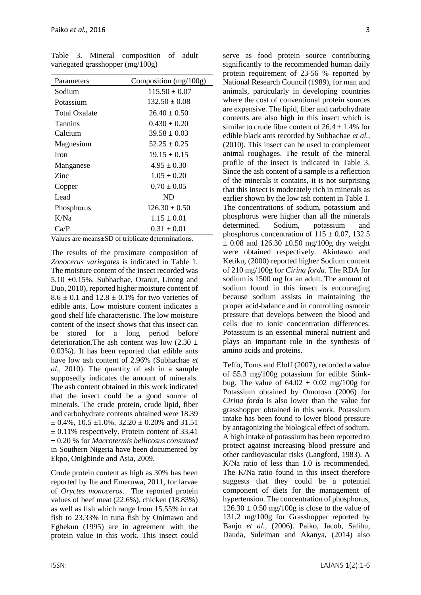| Parameters           | Composition $(mg/100g)$ |
|----------------------|-------------------------|
| Sodium               | $115.50 \pm 0.07$       |
| Potassium            | $132.50 \pm 0.08$       |
| <b>Total Oxalate</b> | $26.40 + 0.50$          |
| <b>Tannins</b>       | $0.430 \pm 0.20$        |
| Calcium              | $39.58 + 0.03$          |
| Magnesium            | $52.25 + 0.25$          |
| <b>Iron</b>          | $19.15 \pm 0.15$        |
| Manganese            | $4.95 \pm 0.30$         |
| Zinc                 | $1.05 \pm 0.20$         |
| Copper               | $0.70 + 0.05$           |
| Lead                 | ND                      |
| Phosphorus           | $126.30 \pm 0.50$       |
| K/Na                 | $1.15 \pm 0.01$         |
| Ca/P                 | $0.31 \pm 0.01$         |

Table 3. Mineral composition of adult variegated grasshopper (mg/100g)

Values are means±SD of triplicate determinations.

The results of the proximate composition of *Zonocerus variegates* is indicated in Table 1. The moisture content of the insect recorded was 5.10 ±0.15%. Subhachae, Oranut, Lirong and Duo, 2010), reported higher moisture content of  $8.6 \pm 0.1$  and  $12.8 \pm 0.1$ % for two varieties of edible ants. Low moisture content indicates a good shelf life characteristic. The low moisture content of the insect shows that this insect can be stored for a long period before deterioration. The ash content was low  $(2.30 \pm$ 0.03%). It has been reported that edible ants have low ash content of 2.96% (Subhachae *et al.,* 2010). The quantity of ash in a sample supposedly indicates the amount of minerals. The ash content obtained in this work indicated that the insect could be a good source of minerals. The crude protein, crude lipid, fiber and carbohydrate contents obtained were 18.39  $\pm$  0.4%, 10.5  $\pm$ 1.0%, 32.20  $\pm$  0.20% and 31.51  $\pm$  0.11% respectively. Protein content of 33.41 ± 0.20 % for *Macrotermis bellicosus consumed* in Southern Nigeria have been documented by Ekpo, Onigbinde and Asia, 2009.

Crude protein content as high as 30% has been reported by Ife and Emeruwa, 2011, for larvae of *Oryctes monoceros.* The reported protein values of beef meat (22.6%), chicken (18.83%) as well as fish which range from 15.55% in cat fish to 23.33% in tuna fish by Onimawo and Egbekun (1995) are in agreement with the protein value in this work. This insect could

serve as food protein source contributing significantly to the recommended human daily protein requirement of 23-56 % reported by National Research Council (1989), for man and animals, particularly in developing countries where the cost of conventional protein sources are expensive. The lipid, fiber and carbohydrate contents are also high in this insect which is similar to crude fibre content of  $26.4 \pm 1.4\%$  for edible black ants recorded by Subhachae *et al.*, (2010). This insect can be used to complement animal roughages. The result of the mineral profile of the insect is indicated in Table 3. Since the ash content of a sample is a reflection of the minerals it contains, it is not surprising that this insect is moderately rich in minerals as earlier shown by the low ash content in Table 1. The concentrations of sodium, potassium and phosphorus were higher than all the minerals determined. Sodium, potassium and phosphorus concentration of  $115 \pm 0.07$ , 132.5  $\pm$  0.08 and 126.30  $\pm$ 0.50 mg/100g dry weight were obtained respectively. Akintawo and Ketiku, (2000) reported higher Sodium content of 210 mg/100g for *Cirina forda.* The RDA for sodium is 1500 mg for an adult. The amount of sodium found in this insect is encouraging because sodium assists in maintaining the proper acid-balance and in controlling osmotic pressure that develops between the blood and cells due to ionic concentration differences. Potassium is an essential mineral nutrient and plays an important role in the synthesis of amino acids and proteins.

Teffo, Toms and Eloff (2007), recorded a value of 55.3 mg/100g potassium for edible Stinkbug. The value of  $64.02 \pm 0.02$  mg/100g for Potassium obtained by Omotoso (2006) for *Cirina forda* is also lower than the value for grasshopper obtained in this work. Potassium intake has been found to lower blood pressure by antagonizing the biological effect of sodium. A high intake of potassium has been reported to protect against increasing blood pressure and other cardiovascular risks (Langford, 1983). A K/Na ratio of less than 1.0 is recommended. The K/Na ratio found in this insect therefore suggests that they could be a potential component of diets for the management of hypertension. The concentration of phosphorus,  $126.30 \pm 0.50$  mg/100g is close to the value of 131.2 mg/100g for Grasshopper reported by Banjo *et al.,* (2006). Paiko, Jacob, Salihu, Dauda, Suleiman and Akanya, (2014) also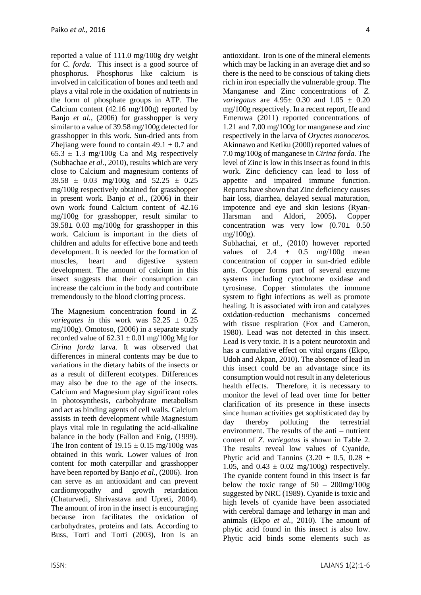reported a value of 111.0 mg/100g dry weight for *C. forda.* This insect is a good source of phosphorus. Phosphorus like calcium is involved in calcification of bones and teeth and plays a vital role in the oxidation of nutrients in the form of phosphate groups in ATP. The Calcium content (42.16 mg/100g) reported by Banjo *et al.*, (2006) for grasshopper is very similar to a value of 39.58 mg/100g detected for grasshopper in this work. Sun-dried ants from Zhejiang were found to contain  $49.1 \pm 0.7$  and  $65.3 \pm 1.3$  mg/100g Ca and Mg respectively (Subhachae *et al.,* 2010), results which are very close to Calcium and magnesium contents of  $39.58 \pm 0.03$  mg/100g and  $52.25 \pm 0.25$ mg/100g respectively obtained for grasshopper in present work. Banjo *et al*., (2006) in their own work found Calcium content of 42.16 mg/100g for grasshopper, result similar to  $39.58 \pm 0.03$  mg/100g for grasshopper in this work. Calcium is important in the diets of children and adults for effective bone and teeth development. It is needed for the formation of muscles, heart and digestive system development. The amount of calcium in this insect suggests that their consumption can increase the calcium in the body and contribute tremendously to the blood clotting process.

The Magnesium concentration found in *Z. variegates i*n this work was 52.25 ± 0.25 mg/100g). Omotoso, (2006) in a separate study recorded value of  $62.31 \pm 0.01$  mg/100g Mg for *Cirina forda* larva. It was observed that differences in mineral contents may be due to variations in the dietary habits of the insects or as a result of different ecotypes. Differences may also be due to the age of the insects. Calcium and Magnesium play significant roles in photosynthesis, carbohydrate metabolism and act as binding agents of cell walls. Calcium assists in teeth development while Magnesium plays vital role in regulating the acid-alkaline balance in the body (Fallon and Enig, (1999). The Iron content of  $19.15 \pm 0.15$  mg/100g was obtained in this work. Lower values of Iron content for moth caterpillar and grasshopper have been reported by Banjo *et al.,* (2006). Iron can serve as an antioxidant and can prevent cardiomyopathy and growth retardation (Chaturvedi, Shrivastava and Upreti, 2004). The amount of iron in the insect is encouraging because iron facilitates the oxidation of carbohydrates, proteins and fats. According to Buss, Torti and Torti (2003), Iron is an antioxidant. Iron is one of the mineral elements which may be lacking in an average diet and so there is the need to be conscious of taking diets rich in iron especially the vulnerable group. The Manganese and Zinc concentrations of *Z. variegatus* are 4.95± 0.30 and 1.05 ± 0.20 mg/100g respectively. In a recent report, Ife and Emeruwa (2011) reported concentrations of 1.21 and 7.00 mg/100g for manganese and zinc respectively in the larva of *Oryctes monoceros.*  Akinnawo and Ketiku (2000) reported values of 7.0 mg/100g of manganese in *Cirina forda.* The level of Zinc is low in this insect as found in this work. Zinc deficiency can lead to loss of appetite and impaired immune function. Reports have shown that Zinc deficiency causes hair loss, diarrhea, delayed sexual maturation, impotence and eye and skin lesions (Ryan-Harsman and Aldori, 2005)**.** Copper concentration was very low  $(0.70 \pm 0.50)$ mg/ $100g$ ).

Subhachai, *et al.,* (2010) however reported values of  $2.4 \pm 0.5$  mg/100g mean concentration of copper in sun-dried edible ants. Copper forms part of several enzyme systems including cytochrome oxidase and tyrosinase. Copper stimulates the immune system to fight infections as well as promote healing. It is associated with iron and catalyzes oxidation-reduction mechanisms concerned with tissue respiration (Fox and Cameron, 1980). Lead was not detected in this insect. Lead is very toxic. It is a potent neurotoxin and has a cumulative effect on vital organs (Ekpo, Udoh and Akpan, 2010). The absence of lead in this insect could be an advantage since its consumption would not result in any deleterious health effects. Therefore, it is necessary to monitor the level of lead over time for better clarification of its presence in these insects since human activities get sophisticated day by day thereby polluting the terrestrial environment. The results of the anti – nutrient content of *Z. variegatus* is shown in Table 2. The results reveal low values of Cyanide, Phytic acid and Tannins  $(3.20 \pm 0.5, 0.28 \pm 0.5)$ 1.05, and  $0.43 \pm 0.02$  mg/100g) respectively. The cyanide content found in this insect is far below the toxic range of  $50 - 200$ mg/100g suggested by NRC (1989). Cyanide is toxic and high levels of cyanide have been associated with cerebral damage and lethargy in man and animals (Ekpo *et al.*, 2010). The amount of phytic acid found in this insect is also low. Phytic acid binds some elements such as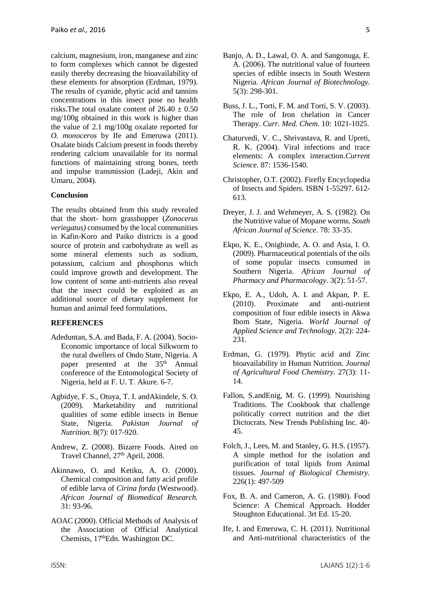calcium, magnesium, iron, manganese and zinc to form complexes which cannot be digested easily thereby decreasing the bioavailability of these elements for absorption (Erdman, 1979). The results of cyanide, phytic acid and tannins concentrations in this insect pose no health risks. The total oxalate content of  $26.40 \pm 0.50$ mg/100g obtained in this work is higher than the value of 2.1 mg/100g oxalate reported for *O. monoceros* by Ife and Emeruwa (2011). Oxalate binds Calcium present in foods thereby rendering calcium unavailable for its normal functions of maintaining strong bones, teeth and impulse transmission (Ladeji, Akin and Umaru, 2004).

#### **Conclusion**

The results obtained from this study revealed that the short- horn grasshopper (*Zonocerus veriegatus)* consumed by the local communities in Kafin-Koro and Paiko districts is a good source of protein and carbohydrate as well as some mineral elements such as sodium, potassium, calcium and phosphorus which could improve growth and development. The low content of some anti-nutrients also reveal that the insect could be exploited as an additional source of dietary supplement for human and animal feed formulations.

#### **REFERENCES**

- Adeduntan, S.A. and Bada, F. A. (2004). Socio-Economic importance of local Silkworm to the rural dwellers of Ondo State, Nigeria. A paper presented at the 35<sup>th</sup> Annual conference of the Entomological Society of Nigeria, held at F. U. T. Akure. 6-7.
- Agbidye, F. S., Otuya, T. I. andAkindele, S. O. (2009). Marketability and nutritional qualities of some edible insects in Benue State, Nigeria. *Pakistan Journal of Nutrition.* 8(7): 017-920.
- Andrew, Z. (2008). Bizarre Foods. Aired on Travel Channel, 27<sup>th</sup> April, 2008.
- Akinnawo, O. and Ketiku, A. O. (2000). Chemical composition and fatty acid profile of edible larva of *Cirina forda* (Westwood). *African Journal of Biomedical Research.*  31: 93-96.
- AOAC (2000). Official Methods of Analysis of the Association of Official Analytical Chemists, 17<sup>th</sup>Edn. Washington DC.
- Banjo, A. D., Lawal, O. A. and Sangonuga, E. A. (2006). The nutritional value of fourteen species of edible insects in South Western Nigeria. *African Journal of Biotechnology.* 5(3): 298-301.
- Buss, J. L., Torti, F. M. and Torti, S. V. (2003). The role of Iron chelation in Cancer Therapy. *Curr. Med. Chem.* 10: 1021-1025.
- Chaturvedi, V. C., Shrivastava, R. and Upreti, R. K. (2004). Viral infections and trace elements: A complex interaction.*Current Science.* 87: 1536-1540.
- Christopher, O.T. (2002). Firefly Encyclopedia of Insects and Spiders. ISBN 1-55297. 612- 613.
- Dreyer, J. J. and Wehmeyer, A. S. (1982). On the Nutritive value of Mopane worms. *South African Journal of Science.* 78: 33-35.
- Ekpo, K. E., Onigbinde, A. O. and Asia, I. O. (2009). Pharmaceutical potentials of the oils of some popular insects consumed in Southern Nigeria. *African Journal of Pharmacy and Pharmacology*. 3(2): 51-57.
- Ekpo, E. A., Udoh, A. I. and Akpan, P. E. (2010). Proximate and anti-nutrient composition of four edible insects in Akwa Ibom State, Nigeria. *World Journal of Applied Science and Technology.* 2(2): 224- 231.
- Erdman, G. (1979). Phytic acid and Zinc bioavailability in Human Nutrition. *Journal of Agricultural Food Chemistry.* 27(3): 11- 14.
- Fallon, S.andEnig, M. G. (1999). Nourishing Traditions. The Cookbook that challenge politically correct nutrition and the diet Dictocrats. New Trends Publishing Inc. 40- 45.
- Folch, J., Lees, M. and Stanley, G. H.S. (1957). A simple method for the isolation and purification of total lipids from Animal tissues. *Journal of Biological Chemistry.* 226(1): 497-509
- Fox, B. A. and Cameron, A. G. (1980). Food Science: A Chemical Approach. Hodder Stoughton Educational. 3rt Ed. 15-20.
- Ife, I. and Emeruwa, C. H. (2011). Nutritional and Anti-nutritional characteristics of the